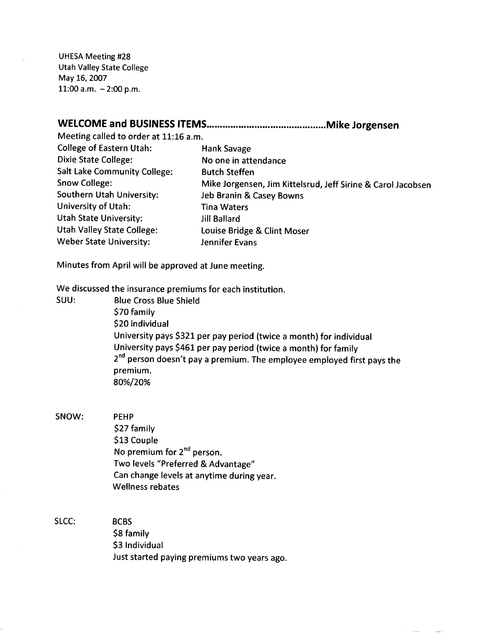UHESA Meeting #28 Utah Valley State College May 16, 2007 11:00 a.m.  $-2:00$  p.m.

## **WELCOME and BUSINESS ITEMS Mike Jorgensen**

Meeting called to order at 11:16 a.m. College of Eastern Utah: Hank Savage

Dixie State College: No one in attendance Salt Lake Community College: Butch Steffen Snow College: Mike Jorgensen, Jim Kittelsrud, Jeff Sirine & Carol Jacobsen Southern Utah University: Jeb Branin & Casey Bowns University of Utah: Tina Waters Utah State University: Jill Ballard Utah Valley State College: Louise Bridge & Clint Moser Weber State University: Jennifer Evans

Minutes from April will be approved at June meeting.

We discussed the insurance premiums for each institution.

SUU: Blue Cross Blue Shield \$70 family \$20 individual University pays \$321 per pay period (twice a month) for individual University pays \$461 per pay period (twice a month) for family 2<sup>nd</sup> person doesn't pay a premium. The employee employed first pays the premium. 80%/20%

SNOW: PEHP

\$27 family \$13 Couple No premium for  $2^{nd}$  person. Two levels "Preferred & Advantage" Can change levels at anytime during year. Wellness rebates

SLCC: BCBS \$8 family \$3 Individual Just started paying premiums two years ago.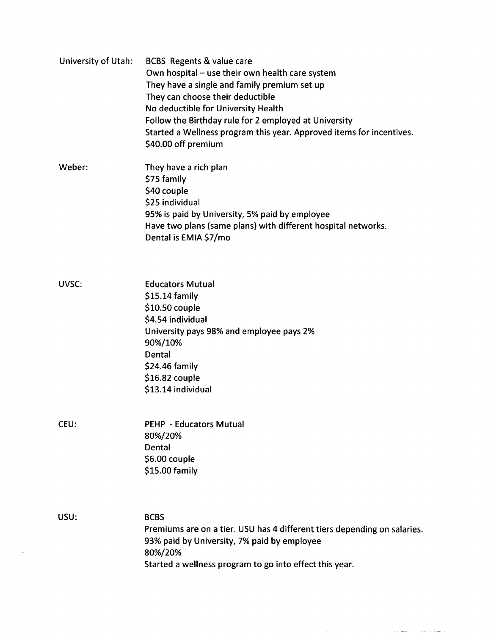| University of Utah: | BCBS Regents & value care<br>Own hospital - use their own health care system<br>They have a single and family premium set up<br>They can choose their deductible<br>No deductible for University Health<br>Follow the Birthday rule for 2 employed at University<br>Started a Wellness program this year. Approved items for incentives.<br>\$40.00 off premium |
|---------------------|-----------------------------------------------------------------------------------------------------------------------------------------------------------------------------------------------------------------------------------------------------------------------------------------------------------------------------------------------------------------|
| Weber:              | They have a rich plan<br>\$75 family<br>\$40 couple<br>\$25 individual<br>95% is paid by University, 5% paid by employee<br>Have two plans (same plans) with different hospital networks.<br>Dental is EMIA \$7/mo                                                                                                                                              |
| UVSC:               | <b>Educators Mutual</b><br>$$15.14$ family<br>\$10.50 couple<br>\$4.54 individual<br>University pays 98% and employee pays 2%<br>90%/10%<br>Dental<br>\$24.46 family<br>$$16.82$ couple<br>\$13.14 individual                                                                                                                                                   |
| CEU:                | <b>PEHP - Educators Mutual</b><br>80%/20%<br>Dental<br>\$6.00 couple<br>\$15.00 family                                                                                                                                                                                                                                                                          |
| USU:                | <b>BCBS</b><br>Premiums are on a tier. USU has 4 different tiers depending on salaries.<br>93% paid by University, 7% paid by employee<br>80%/20%<br>Started a wellness program to go into effect this year.                                                                                                                                                    |

 $\label{eq:reduced} \begin{split} \mathcal{L}_{\text{in}}(\mathcal{L}_{\text{in}}(\mathcal{L}_{\text{out}}(\mathcal{L}_{\text{out}}(\mathcal{L}_{\text{out}}(\mathcal{L}_{\text{out}}(\mathcal{L}_{\text{out}}(\mathcal{L}_{\text{out}}(\mathcal{L}_{\text{out}}(\mathcal{L}_{\text{out}}(\mathcal{L}_{\text{out}}(\mathcal{L}_{\text{out}}(\mathcal{L}_{\text{out}}(\mathcal{L}_{\text{out}}(\mathcal{L}_{\text{out}}(\mathcal{L}_{\text{out}}(\mathcal{L}_{\text{out}}(\mathcal{L}_{\text{out}}(\mathcal{L}_{\text{$ 

 $\overline{\phantom{a}}$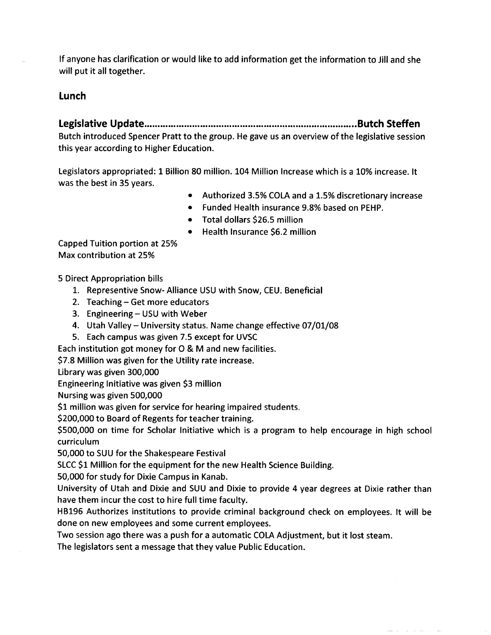If anyone has clarification or would like to add information get the information to Jill and she will put it all together.

## **Lunch**

**Legislative Update Butch Steffen** Butch introduced Spencer Pratt to the group. He gave us an overview of the legislative session this year according to Higher Education.

Legislators appropriated: 1 Billion 80 million. 104 Million Increase which is a 10% increase. It was the best in 35 years.

- Authorized 3.5% COLA and a 1.5% discretionary increase
- Funded Health insurance 9.8% based on PEHP.
- Total dollars \$26.5 million
- Health Insurance \$6.2 million

Capped Tuition portion at 25% Max contribution at 25%

5 Direct Appropriation bills

- 1. Representive Snow- Alliance USD with Snow, CEU. Beneficial
- 2. Teaching Get more educators
- 3. Engineering USU with Weber
- 4. Utah Valley University status. Name change effective 07/01/08
- 5. Each campus was given 7.5 except for UVSC

Each institution got money for O & M and new facilities.

\$7.8 Million was given for the Utility rate increase.

Library was given 300,000

Engineering Initiative was given \$3 million

Nursing was given 500,000

\$1 million was given for service for hearing impaired students.

\$200,000 to Board of Regents for teacher training.

\$500,000 on time for Scholar Initiative which is a program to help encourage in high school curriculum

50,000 to SUU for the Shakespeare Festival

SLCC \$1 Million for the equipment for the new Health Science Building.

50,000 for study for Dixie Campus in Kanab.

University of Utah and Dixie and SUU and Dixie to provide 4 year degrees at Dixie rather than have them incur the cost to hire full time faculty.

HB196 Authorizes institutions to provide criminal background check on employees. It will be done on new employees and some current employees.

Two session ago there was a push for a automatic COLA Adjustment, but it lost steam.

The legislators sent a message that they value Public Education.